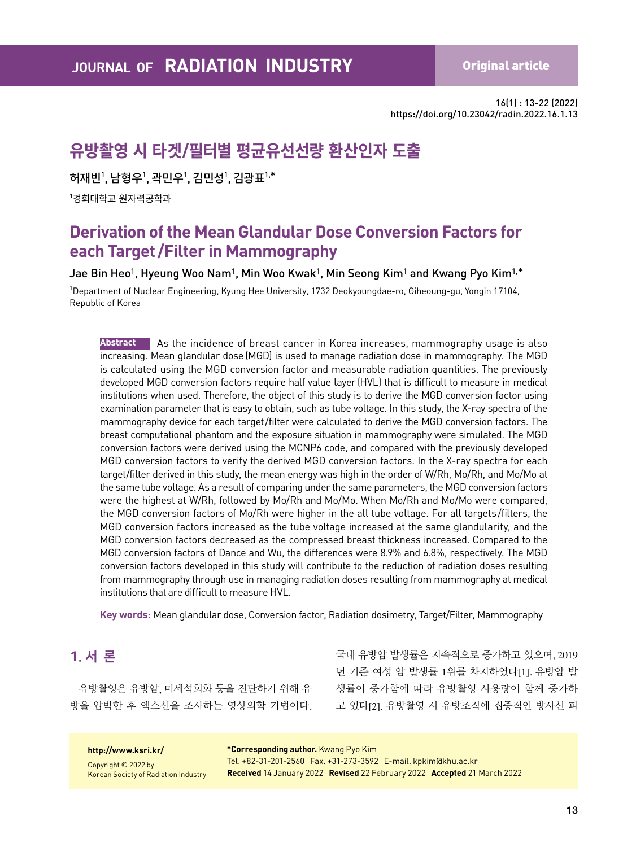**A Original article** 

16(1) : 13-22 (2022) https://doi.org/10.23042/radin.2022.16.1.13

# **유방촬영 시 타겟/필터별 평균유선선량 환산인자 도출**

허재빈<sup>1</sup>, 남형우<sup>1</sup>, 곽민우<sup>1</sup>, 김민성<sup>1</sup>, 김광표<sup>1,\*</sup>

 $^{\mathsf{1}}$ 경희대학교 원자력공학과

## **Derivation of the Mean Glandular Dose Conversion Factors for each Target /Filter in Mammography**

Jae Bin Heo<sup>1</sup>, Hyeung Woo Nam<sup>1</sup>, Min Woo Kwak<sup>1</sup>, Min Seong Kim<sup>1</sup> and Kwang Pyo Kim<sup>1,\*</sup>

1 Department of Nuclear Engineering, Kyung Hee University, 1732 Deokyoungdae-ro, Giheoung-gu, Yongin 17104, Republic of Korea

**Abstract** As the incidence of breast cancer in Korea increases, mammography usage is also increasing. Mean glandular dose (MGD) is used to manage radiation dose in mammography. The MGD is calculated using the MGD conversion factor and measurable radiation quantities. The previously developed MGD conversion factors require half value layer (HVL) that is difficult to measure in medical institutions when used. Therefore, the object of this study is to derive the MGD conversion factor using examination parameter that is easy to obtain, such as tube voltage. In this study, the X-ray spectra of the mammography device for each target/filter were calculated to derive the MGD conversion factors. The breast computational phantom and the exposure situation in mammography were simulated. The MGD conversion factors were derived using the MCNP6 code, and compared with the previously developed MGD conversion factors to verify the derived MGD conversion factors. In the X-ray spectra for each target/filter derived in this study, the mean energy was high in the order of W/Rh, Mo/Rh, and Mo/Mo at the same tube voltage. As a result of comparing under the same parameters, the MGD conversion factors were the highest at W/Rh, followed by Mo/Rh and Mo/Mo. When Mo/Rh and Mo/Mo were compared, the MGD conversion factors of Mo/Rh were higher in the all tube voltage. For all targets/filters, the MGD conversion factors increased as the tube voltage increased at the same glandularity, and the MGD conversion factors decreased as the compressed breast thickness increased. Compared to the MGD conversion factors of Dance and Wu, the differences were 8.9% and 6.8%, respectively. The MGD conversion factors developed in this study will contribute to the reduction of radiation doses resulting from mammography through use in managing radiation doses resulting from mammography at medical institutions that are difficult to measure HVL.

**Key words:** Mean glandular dose, Conversion factor, Radiation dosimetry, Target/Filter, Mammography

### 1. 서 론

유방촬영은 유방암, 미세석회화 등을 진단하기 위해 유 방을 압박한 후 엑스선을 조사하는 영상의학 기법이다. 국내 유방암 발생률은 지속적으로 증가하고 있으며, 2019 년 기준 여성 암 발생률 1위를 차지하였다[1]. 유방암 발 생률이 증가함에 따라 유방촬영 사용량이 함께 증가하 고 있다[2]. 유방촬영 시 유방조직에 집중적인 방사선 피

#### **http://www.ksri.kr/**

Copyright © 2022 by Korean Society of Radiation Industry **\*Corresponding author.** Kwang Pyo Kim Tel. +82-31-201-2560 Fax. +31-273-3592 E-mail. kpkim@khu.ac.kr **Received** 14 January 2022 **Revised** 22 February 2022 **Accepted** 21 March 2022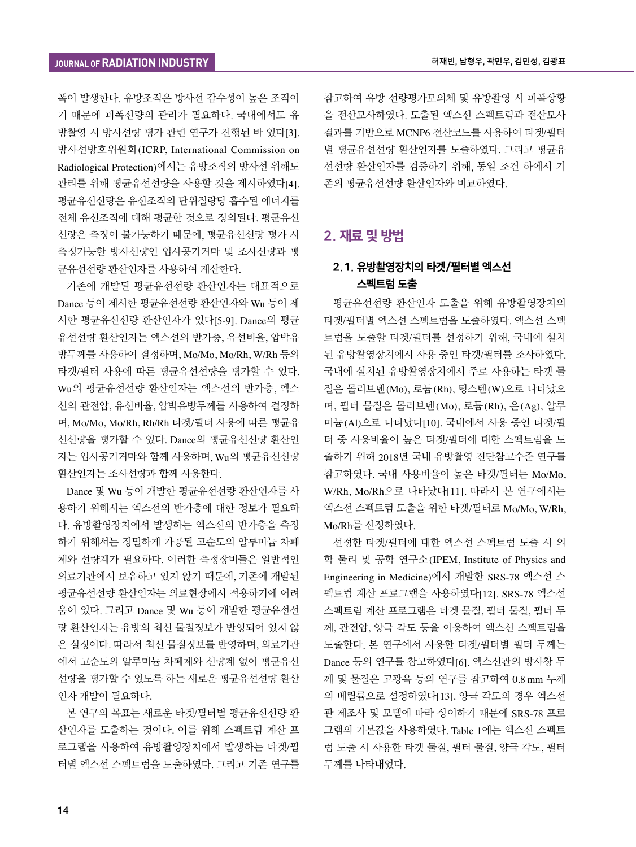폭이 발생한다. 유방조직은 방사선 감수성이 높은 조직이 기 때문에 피폭선량의 관리가 필요하다. 국내에서도 유 방촬영 시 방사선량 평가 관련 연구가 진행된 바 있다[3]. 방사선방호위원회(ICRP, International Commission on Radiological Protection)에서는 유방조직의 방사선 위해도 관리를 위해 평균유선선량을 사용할 것을 제시하였다[4]. 평균유선선량은 유선조직의 단위질량당 흡수된 에너지를 전체 유선조직에 대해 평균한 것으로 정의된다. 평균유선 선량은 측정이 불가능하기 때문에, 평균유선선량 평가 시 측정가능한 방사선량인 입사공기커마 및 조사선량과 평 균유선선량 환산인자를 사용하여 계산한다.

기존에 개발된 평균유선선량 환산인자는 대표적으로 Dance 등이 제시한 평균유선선량 환산인자와 Wu 등이 제 시한 평균유선선량 환산인자가 있다[5-9]. Dance의 평균 유선선량 환산인자는 엑스선의 반가층, 유선비율, 압박유 방두께를 사용하여 결정하며, Mo/Mo, Mo/Rh, W/Rh 등의 타겟/필터 사용에 따른 평균유선선량을 평가할 수 있다. Wu의 평균유선선량 환산인자는 엑스선의 반가층, 엑스 선의 관전압, 유선비율, 압박유방두께를 사용하여 결정하 며, Mo/Mo, Mo/Rh, Rh/Rh 타겟/필터 사용에 따른 평균유 선선량을 평가할 수 있다. Dance의 평균유선선량 환산인 자는 입사공기커마와 함께 사용하며, Wu의 평균유선선량 환산인자는 조사선량과 함께 사용한다.

Dance 및 Wu 등이 개발한 평균유선선량 환산인자를 사 용하기 위해서는 엑스선의 반가층에 대한 정보가 필요하 다. 유방촬영장치에서 발생하는 엑스선의 반가층을 측정 하기 위해서는 정밀하게 가공된 고순도의 알루미늄 차폐 체와 선량계가 필요하다. 이러한 측정장비들은 일반적인 의료기관에서 보유하고 있지 않기 때문에, 기존에 개발된 평균유선선량 환산인자는 의료현장에서 적용하기에 어려 움이 있다. 그리고 Dance 및 Wu 등이 개발한 평균유선선 량 환산인자는 유방의 최신 물질정보가 반영되어 있지 않 은 실정이다. 따라서 최신 물질정보를 반영하며, 의료기관 에서 고순도의 알루미늄 차폐체와 선량계 없이 평균유선 선량을 평가할 수 있도록 하는 새로운 평균유선선량 환산 인자 개발이 필요하다.

본 연구의 목표는 새로운 타겟/필터별 평균유선선량 환 산인자를 도출하는 것이다. 이를 위해 스펙트럼 계산 프 로그램을 사용하여 유방촬영장치에서 발생하는 타겟/필 터별 엑스선 스펙트럼을 도출하였다. 그리고 기존 연구를

참고하여 유방 선량평가모의체 및 유방촬영 시 피폭상황 을 전산모사하였다. 도출된 엑스선 스펙트럼과 전산모사 결과를 기반으로 MCNP6 전산코드를 사용하여 타겟/필터 별 평균유선선량 환산인자를 도출하였다. 그리고 평균유 선선량 환산인자를 검증하기 위해, 동일 조건 하에서 기 존의 평균유선선량 환산인자와 비교하였다.

#### 2. 재료 및 방법

#### 2.1. 유방촬영장치의 타겟/필터별 엑스선 스펙트럼 도출

평균유선선량 환산인자 도출을 위해 유방촬영장치의 타겟/필터별 엑스선 스펙트럼을 도출하였다. 엑스선 스펙 트럼을 도출할 타겟/필터를 선정하기 위해, 국내에 설치 된 유방촬영장치에서 사용 중인 타겟/필터를 조사하였다. 국내에 설치된 유방촬영장치에서 주로 사용하는 타겟 물 질은 몰리브덴(Mo), 로듐(Rh), 텅스텐(W)으로 나타났으 며, 필터 물질은 몰리브덴(Mo), 로듐(Rh), 은(Ag), 알루 미늄(Al)으로 나타났다[10]. 국내에서 사용 중인 타겟/필 터 중 사용비율이 높은 타겟/필터에 대한 스펙트럼을 도 출하기 위해 2018년 국내 유방촬영 진단참고수준 연구를 참고하였다. 국내 사용비율이 높은 타겟/필터는 Mo/Mo, W/Rh, Mo/Rh으로 나타났다[11]. 따라서 본 연구에서는 엑스선 스펙트럼 도출을 위한 타겟/필터로 Mo/Mo, W/Rh, Mo/Rh를 선정하였다.

선정한 타겟/필터에 대한 엑스선 스펙트럼 도출 시 의 학 물리 및 공학 연구소(IPEM, Institute of Physics and Engineering in Medicine)에서 개발한 SRS-78 엑스선 스 펙트럼 계산 프로그램을 사용하였다[12]. SRS-78 엑스선 스펙트럼 계산 프로그램은 타겟 물질, 필터 물질, 필터 두 께, 관전압, 양극 각도 등을 이용하여 엑스선 스펙트럼을 도출한다. 본 연구에서 사용한 타겟/필터별 필터 두께는 Dance 등의 연구를 참고하였다[6]. 엑스선관의 방사창 두 께 및 물질은 고광옥 등의 연구를 참고하여 0.8 mm 두께 의 베릴륨으로 설정하였다[13]. 양극 각도의 경우 엑스선 관 제조사 및 모델에 따라 상이하기 때문에 SRS-78 프로 그램의 기본값을 사용하였다. Table 1에는 엑스선 스펙트 럼 도출 시 사용한 타겟 물질, 필터 물질, 양극 각도, 필터 두께를 나타내었다.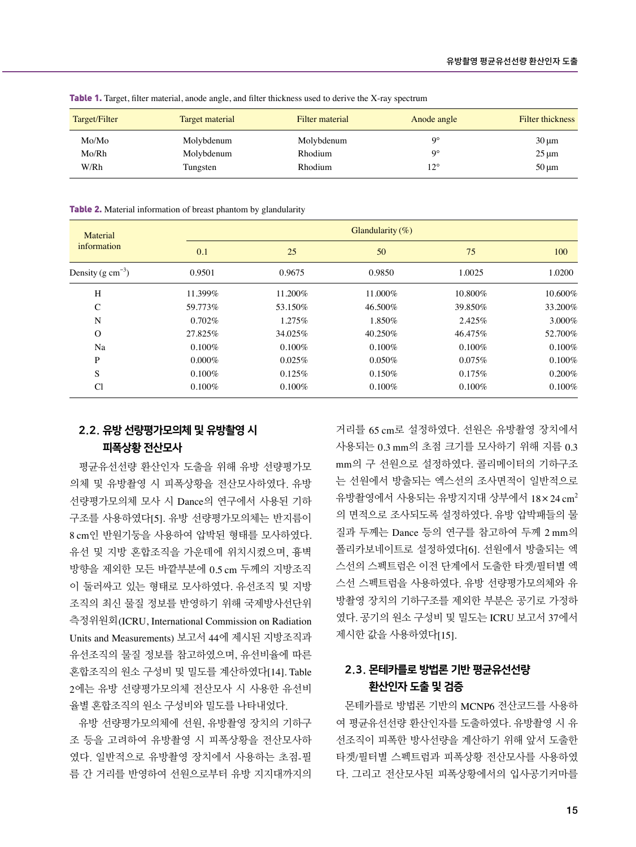| Target/Filter | Target material | Filter material | Anode angle  | Filter thickness |
|---------------|-----------------|-----------------|--------------|------------------|
| Mo/Mo         | Molybdenum      | Molybdenum      | Q٥           | $30 \mu m$       |
| Mo/Rh         | Molybdenum      | Rhodium         | Q٥           | $25 \mu m$       |
| W/Rh          | Tungsten        | Rhodium         | $12^{\circ}$ | $50 \mu m$       |

Table 1. Target, filter material, anode angle, and filter thickness used to derive the X-ray spectrum

Table 2. Material information of breast phantom by glandularity

| Material               |           | Glandularity $(\%)$ |           |           |            |  |  |
|------------------------|-----------|---------------------|-----------|-----------|------------|--|--|
| information            | 0.1       | 25                  | 50        | 75        | 100        |  |  |
| Density (g $cm^{-3}$ ) | 0.9501    | 0.9675              | 0.9850    | 1.0025    | 1.0200     |  |  |
| H                      | 11.399%   | 11.200%             | 11.000%   | 10.800%   | $10.600\%$ |  |  |
| C                      | 59.773%   | 53.150%             | 46.500%   | 39.850%   | 33.200%    |  |  |
| N                      | $0.702\%$ | 1.275%              | 1.850%    | 2.425%    | 3.000%     |  |  |
| $\Omega$               | 27.825%   | 34.025%             | 40.250%   | 46.475%   | 52.700%    |  |  |
| Na                     | $0.100\%$ | $0.100\%$           | $0.100\%$ | $0.100\%$ | 0.100%     |  |  |
| P                      | $0.000\%$ | 0.025%              | $0.050\%$ | 0.075%    | $0.100\%$  |  |  |
| S                      | $0.100\%$ | 0.125%              | 0.150%    | 0.175%    | 0.200%     |  |  |
| Cl                     | $0.100\%$ | $0.100\%$           | $0.100\%$ | $0.100\%$ | 0.100%     |  |  |

#### 2.2. 유방 선량평가모의체 및 유방촬영 시 피폭상황 전산모사

평균유선선량 환산인자 도출을 위해 유방 선량평가모 의체 및 유방촬영 시 피폭상황을 전산모사하였다. 유방 선량평가모의체 모사 시 Dance의 연구에서 사용된 기하 구조를 사용하였다[5]. 유방 선량평가모의체는 반지름이 8 cm인 반원기둥을 사용하여 압박된 형태를 모사하였다. 유선 및 지방 혼합조직을 가운데에 위치시켰으며, 흉벽 방향을 제외한 모든 바깥부분에 0.5 cm 두께의 지방조직 이 둘러싸고 있는 형태로 모사하였다. 유선조직 및 지방 조직의 최신 물질 정보를 반영하기 위해 국제방사선단위 측정위원회(ICRU, International Commission on Radiation Units and Measurements) 보고서 44에 제시된 지방조직과 유선조직의 물질 정보를 참고하였으며, 유선비율에 따른 혼합조직의 원소 구성비 및 밀도를 계산하였다[14]. Table 2에는 유방 선량평가모의체 전산모사 시 사용한 유선비 율별 혼합조직의 원소 구성비와 밀도를 나타내었다.

유방 선량평가모의체에 선원, 유방촬영 장치의 기하구 조 등을 고려하여 유방촬영 시 피폭상황을 전산모사하 였다. 일반적으로 유방촬영 장치에서 사용하는 초점-필 름 간 거리를 반영하여 선원으로부터 유방 지지대까지의 거리를 65 cm로 설정하였다. 선원은 유방촬영 장치에서 사용되는 0.3 mm의 초점 크기를 모사하기 위해 지름 0.3 mm의 구 선원으로 설정하였다. 콜리메이터의 기하구조 는 선원에서 방출되는 엑스선의 조사면적이 일반적으로 유방촬영에서 사용되는 유방지지대 상부에서  $18 \times 24 \text{ cm}^2$ 의 면적으로 조사되도록 설정하였다. 유방 압박패들의 물 질과 두께는 Dance 등의 연구를 참고하여 두께 2 mm의 폴리카보네이트로 설정하였다[6]. 선원에서 방출되는 엑 스선의 스펙트럼은 이전 단계에서 도출한 타겟/필터별 엑 스선 스펙트럼을 사용하였다. 유방 선량평가모의체와 유 방촬영 장치의 기하구조를 제외한 부분은 공기로 가정하 였다. 공기의 원소 구성비 및 밀도는 ICRU 보고서 37에서 제시한 값을 사용하였다[15].

#### 2.3. 몬테카를로 방법론 기반 평균유선선량 환산인자 도출 및 검증

몬테카를로 방법론 기반의 MCNP6 전산코드를 사용하 여 평균유선선량 환산인자를 도출하였다. 유방촬영 시 유 선조직이 피폭한 방사선량을 계산하기 위해 앞서 도출한 타겟/필터별 스펙트럼과 피폭상황 전산모사를 사용하였 다. 그리고 전산모사된 피폭상황에서의 입사공기커마를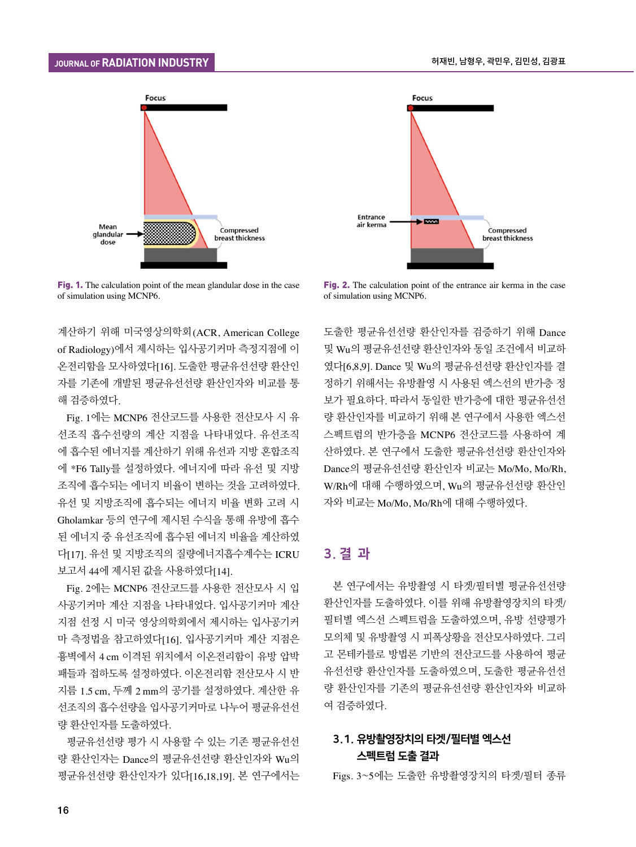

Fig. 1. The calculation point of the mean glandular dose in the case of simulation using MCNP6.

계산하기 위해 미국영상의학회(ACR, American College of Radiology)에서 제시하는 입사공기커마 측정지점에 이 온전리함을 모사하였다[16]. 도출한 평균유선선량 환산인 자를 기존에 개발된 평균유선선량 환산인자와 비교를 통 해 검증하였다.

Fig. 1에는 MCNP6 전산코드를 사용한 전산모사 시 유 선조직 흡수선량의 계산 지점을 나타내었다. 유선조직 에 흡수된 에너지를 계산하기 위해 유선과 지방 혼합조직 에 \*F6 Tally를 설정하였다. 에너지에 따라 유선 및 지방 조직에 흡수되는 에너지 비율이 변하는 것을 고려하였다. 유선 및 지방조직에 흡수되는 에너지 비율 변화 고려 시 Gholamkar 등의 연구에 제시된 수식을 통해 유방에 흡수 된 에너지 중 유선조직에 흡수된 에너지 비율을 계산하였 다[17]. 유선 및 지방조직의 질량에너지흡수계수는 ICRU 보고서 44에 제시된 값을 사용하였다[14].

Fig. 2에는 MCNP6 전산코드를 사용한 전산모사 시 입 사공기커마 계산 지점을 나타내었다. 입사공기커마 계산 지점 선정 시 미국 영상의학회에서 제시하는 입사공기커 마 측정법을 참고하였다[16]. 입사공기커마 계산 지점은 흉벽에서 4 cm 이격된 위치에서 이온전리함이 유방 압박 패들과 접하도록 설정하였다. 이온전리함 전산모사 시 반 지름 1.5 cm, 두께 2 mm의 공기를 설정하였다. 계산한 유 선조직의 흡수선량을 입사공기커마로 나누어 평균유선선 량 환산인자를 도출하였다.

평균유선선량 평가 시 사용할 수 있는 기존 평균유선선 량 환산인자는 Dance의 평균유선선량 환산인자와 Wu의 평균유선선량 환산인자가 있다[16,18,19]. 본 연구에서는



Fig. 2. The calculation point of the entrance air kerma in the case of simulation using MCNP6.

도출한 평균유선선량 환산인자를 검증하기 위해 Dance 및 Wu의 평균유선선량 환산인자와 동일 조건에서 비교하 였다[6,8,9]. Dance 및 Wu의 평균유선선량 환산인자를 결 정하기 위해서는 유방촬영 시 사용된 엑스선의 반가층 정 보가 필요하다. 따라서 동일한 반가층에 대한 평균유선선 량 환산인자를 비교하기 위해 본 연구에서 사용한 엑스선 스펙트럼의 반가층을 MCNP6 전산코드를 사용하여 계 산하였다. 본 연구에서 도출한 평균유선선량 환산인자와 Dance의 평균유선선량 환산인자 비교는 Mo/Mo, Mo/Rh, W/Rh에 대해 수행하였으며, Wu의 평균유선선량 환산인 자와 비교는 Mo/Mo, Mo/Rh에 대해 수행하였다.

#### 3. 결 과

본 연구에서는 유방촬영 시 타겟/필터별 평균유선선량 환산인자를 도출하였다. 이를 위해 유방촬영장치의 타겟/ 필터별 엑스선 스펙트럼을 도출하였으며, 유방 선량평가 모의체 및 유방촬영 시 피폭상황을 전산모사하였다. 그리 고 몬테카를로 방법론 기반의 전산코드를 사용하여 평균 유선선량 환산인자를 도출하였으며, 도출한 평균유선선 량 환산인자를 기존의 평균유선선량 환산인자와 비교하 여 검증하였다.

#### 3.1. 유방촬영장치의 타겟/필터별 엑스선 스펙트럼 도출 결과

Figs. 3~5에는 도출한 유방촬영장치의 타겟/필터 종류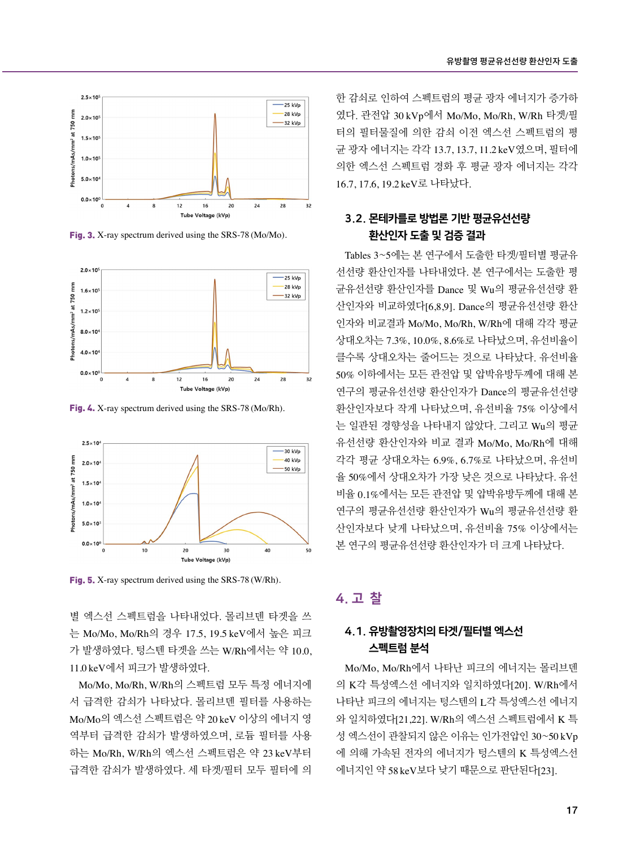

Fig. 3. X-ray spectrum derived using the SRS-78 (Mo/Mo).



Fig. 4. X-ray spectrum derived using the SRS-78 (Mo/Rh).



Fig. 5. X-ray spectrum derived using the SRS-78 (W/Rh).

별 엑스선 스펙트럼을 나타내었다. 몰리브덴 타겟을 쓰 는 Mo/Mo, Mo/Rh의 경우 17.5, 19.5 keV에서 높은 피크 가 발생하였다. 텅스텐 타겟을 쓰는 W/Rh에서는 약 10.0, 11.0 keV에서 피크가 발생하였다.

Mo/Mo, Mo/Rh, W/Rh의 스펙트럼 모두 특정 에너지에 서 급격한 감쇠가 나타났다. 몰리브덴 필터를 사용하는 Mo/Mo의 엑스선 스펙트럼은 약 20 keV 이상의 에너지 영 역부터 급격한 감쇠가 발생하였으며, 로듐 필터를 사용 하는 Mo/Rh, W/Rh의 엑스선 스펙트럼은 약 23 keV부터 급격한 감쇠가 발생하였다. 세 타겟/필터 모두 필터에 의

한 감쇠로 인하여 스펙트럼의 평균 광자 에너지가 증가하 였다. 관전압 30 kVp에서 Mo/Mo, Mo/Rh, W/Rh 타겟/필 터의 필터물질에 의한 감쇠 이전 엑스선 스펙트럼의 평 균 광자 에너지는 각각 13.7, 13.7, 11.2 keV였으며, 필터에 의한 엑스선 스펙트럼 경화 후 평균 광자 에너지는 각각 16.7, 17.6, 19.2 keV로 나타났다.

#### 3.2. 몬테카를로 방법론 기반 평균유선선량 환산인자 도출 및 검증 결과

Tables 3~5에는 본 연구에서 도출한 타겟/필터별 평균유 선선량 환산인자를 나타내었다. 본 연구에서는 도출한 평 균유선선량 환산인자를 Dance 및 Wu의 평균유선선량 환 산인자와 비교하였다[6,8,9]. Dance의 평균유선선량 환산 인자와 비교결과 Mo/Mo, Mo/Rh, W/Rh에 대해 각각 평균 상대오차는 7.3%, 10.0%, 8.6%로 나타났으며, 유선비율이 클수록 상대오차는 줄어드는 것으로 나타났다. 유선비율 50% 이하에서는 모든 관전압 및 압박유방두께에 대해 본 연구의 평균유선선량 환산인자가 Dance의 평균유선선량 환산인자보다 작게 나타났으며, 유선비율 75% 이상에서 는 일관된 경향성을 나타내지 않았다. 그리고 Wu의 평균 유선선량 환산인자와 비교 결과 Mo/Mo, Mo/Rh에 대해 각각 평균 상대오차는 6.9%, 6.7%로 나타났으며, 유선비 율 50%에서 상대오차가 가장 낮은 것으로 나타났다. 유선 비율 0.1%에서는 모든 관전압 및 압박유방두께에 대해 본 연구의 평균유선선량 환산인자가 Wu의 평균유선선량 환 산인자보다 낮게 나타났으며, 유선비율 75% 이상에서는 본 연구의 평균유선선량 환산인자가 더 크게 나타났다.

### 4. 고 찰

#### 4.1. 유방촬영장치의 타겟/필터별 엑스선 스펙트럼 분석

Mo/Mo, Mo/Rh에서 나타난 피크의 에너지는 몰리브덴 의 K각 특성엑스선 에너지와 일치하였다[20]. W/Rh에서 나타난 피크의 에너지는 텅스텐의 L각 특성엑스선 에너지 와 일치하였다[21,22]. W/Rh의 엑스선 스펙트럼에서 K 특 성 엑스선이 관찰되지 않은 이유는 인가전압인 30~50 kVp 에 의해 가속된 전자의 에너지가 텅스텐의 K 특성엑스선 에너지인 약 58 keV보다 낮기 때문으로 판단된다[23].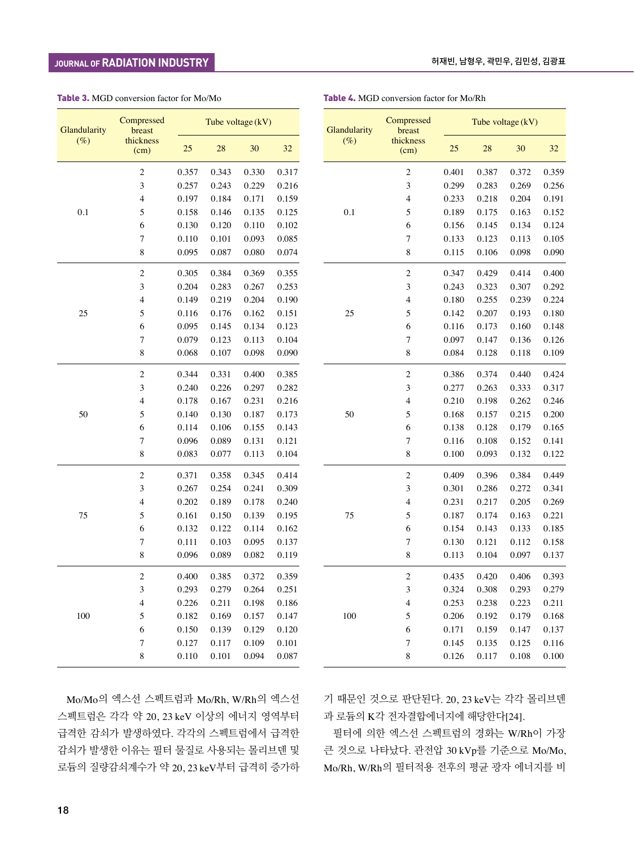#### Table 3. MGD conversion factor for Mo/Mo

| Glandularity | Compressed<br>breast     |       | Tube voltage (kV) |       |       |  |  |
|--------------|--------------------------|-------|-------------------|-------|-------|--|--|
| $(\%)$       | thickness<br>(cm)        | 25    | 28                | 30    | 32    |  |  |
|              | $\overline{c}$           | 0.357 | 0.343             | 0.330 | 0.317 |  |  |
|              | 3                        | 0.257 | 0.243             | 0.229 | 0.216 |  |  |
|              | 4                        | 0.197 | 0.184             | 0.171 | 0.159 |  |  |
| 0.1          | 5                        | 0.158 | 0.146             | 0.135 | 0.125 |  |  |
|              | 6                        | 0.130 | 0.120             | 0.110 | 0.102 |  |  |
|              | 7                        | 0.110 | 0.101             | 0.093 | 0.085 |  |  |
|              | 8                        | 0.095 | 0.087             | 0.080 | 0.074 |  |  |
|              | $\overline{c}$           | 0.305 | 0.384             | 0.369 | 0.355 |  |  |
|              | 3                        | 0.204 | 0.283             | 0.267 | 0.253 |  |  |
|              | 4                        | 0.149 | 0.219             | 0.204 | 0.190 |  |  |
| 25           | 5                        | 0.116 | 0.176             | 0.162 | 0.151 |  |  |
|              | 6                        | 0.095 | 0.145             | 0.134 | 0.123 |  |  |
|              | 7                        | 0.079 | 0.123             | 0.113 | 0.104 |  |  |
|              | 8                        | 0.068 | 0.107             | 0.098 | 0.090 |  |  |
|              | 2                        | 0.344 | 0.331             | 0.400 | 0.385 |  |  |
|              | 3                        | 0.240 | 0.226             | 0.297 | 0.282 |  |  |
|              | $\overline{\mathcal{L}}$ | 0.178 | 0.167             | 0.231 | 0.216 |  |  |
| 50           | 5                        | 0.140 | 0.130             | 0.187 | 0.173 |  |  |
|              | 6                        | 0.114 | 0.106             | 0.155 | 0.143 |  |  |
|              | 7                        | 0.096 | 0.089             | 0.131 | 0.121 |  |  |
|              | 8                        | 0.083 | 0.077             | 0.113 | 0.104 |  |  |
|              | 2                        | 0.371 | 0.358             | 0.345 | 0.414 |  |  |
|              | 3                        | 0.267 | 0.254             | 0.241 | 0.309 |  |  |
|              | $\overline{4}$           | 0.202 | 0.189             | 0.178 | 0.240 |  |  |
| 75           | 5                        | 0.161 | 0.150             | 0.139 | 0.195 |  |  |
|              | 6                        | 0.132 | 0.122             | 0.114 | 0.162 |  |  |
|              | 7                        | 0.111 | 0.103             | 0.095 | 0.137 |  |  |
|              | 8                        | 0.096 | 0.089             | 0.082 | 0.119 |  |  |
|              | 2                        | 0.400 | 0.385             | 0.372 | 0.359 |  |  |
|              | 3                        | 0.293 | 0.279             | 0.264 | 0.251 |  |  |
|              | $\overline{4}$           | 0.226 | 0.211             | 0.198 | 0.186 |  |  |
| 100          | 5                        | 0.182 | 0.169             | 0.157 | 0.147 |  |  |
|              | 6                        | 0.150 | 0.139             | 0.129 | 0.120 |  |  |
|              | 7                        | 0.127 | 0.117             | 0.109 | 0.101 |  |  |
|              | 8                        | 0.110 | 0.101             | 0.094 | 0.087 |  |  |

로듐의 질량감쇠계수가 약 20, 23 keV부터 급격히 증가하

| Glandularity | Compressed<br>breast | Tube voltage (kV) |       |       |       |  |
|--------------|----------------------|-------------------|-------|-------|-------|--|
| $(\%)$       | thickness<br>(cm)    | 25                | 28    | 30    | 32    |  |
|              | $\overline{c}$       | 0.401             | 0.387 | 0.372 | 0.359 |  |
|              | 3                    | 0.299             | 0.283 | 0.269 | 0.256 |  |
|              | 4                    | 0.233             | 0.218 | 0.204 | 0.191 |  |
| 0.1          | 5                    | 0.189             | 0.175 | 0.163 | 0.152 |  |
|              | 6                    | 0.156             | 0.145 | 0.134 | 0.124 |  |
|              | $\overline{7}$       | 0.133             | 0.123 | 0.113 | 0.105 |  |
|              | 8                    | 0.115             | 0.106 | 0.098 | 0.090 |  |
|              | $\overline{c}$       | 0.347             | 0.429 | 0.414 | 0.400 |  |
|              | 3                    | 0.243             | 0.323 | 0.307 | 0.292 |  |
|              | $\overline{4}$       | 0.180             | 0.255 | 0.239 | 0.224 |  |
| 25           | 5                    | 0.142             | 0.207 | 0.193 | 0.180 |  |
|              | 6                    | 0.116             | 0.173 | 0.160 | 0.148 |  |
|              | 7                    | 0.097             | 0.147 | 0.136 | 0.126 |  |
|              | 8                    | 0.084             | 0.128 | 0.118 | 0.109 |  |
|              | $\overline{c}$       | 0.386             | 0.374 | 0.440 | 0.424 |  |
|              | 3                    | 0.277             | 0.263 | 0.333 | 0.317 |  |
|              | $\overline{4}$       | 0.210             | 0.198 | 0.262 | 0.246 |  |
| 50           | 5                    | 0.168             | 0.157 | 0.215 | 0.200 |  |
|              | 6                    | 0.138             | 0.128 | 0.179 | 0.165 |  |
|              | 7                    | 0.116             | 0.108 | 0.152 | 0.141 |  |
|              | 8                    | 0.100             | 0.093 | 0.132 | 0.122 |  |
|              | $\overline{c}$       | 0.409             | 0.396 | 0.384 | 0.449 |  |
|              | 3                    | 0.301             | 0.286 | 0.272 | 0.341 |  |
|              | $\overline{4}$       | 0.231             | 0.217 | 0.205 | 0.269 |  |
| 75           | 5                    | 0.187             | 0.174 | 0.163 | 0.221 |  |
|              | 6                    | 0.154             | 0.143 | 0.133 | 0.185 |  |
|              | 7                    | 0.130             | 0.121 | 0.112 | 0.158 |  |
|              | 8                    | 0.113             | 0.104 | 0.097 | 0.137 |  |
|              | $\overline{2}$       | 0.435             | 0.420 | 0.406 | 0.393 |  |
|              | 3                    | 0.324             | 0.308 | 0.293 | 0.279 |  |
|              | 4                    | 0.253             | 0.238 | 0.223 | 0.211 |  |
| 100          | 5                    | 0.206             | 0.192 | 0.179 | 0.168 |  |
|              | 6                    | 0.171             | 0.159 | 0.147 | 0.137 |  |
|              | 7                    | 0.145             | 0.135 | 0.125 | 0.116 |  |
|              | 8                    | 0.126             | 0.117 | 0.108 | 0.100 |  |

#### 허재빈, 남형우, 곽민우, 김민성, 김광표

Table 4. MGD conversion factor for Mo/Rh

Mo/Mo의 엑스선 스펙트럼과 Mo/Rh, W/Rh의 엑스선 스펙트럼은 각각 약 20, 23 keV 이상의 에너지 영역부터 급격한 감쇠가 발생하였다. 각각의 스펙트럼에서 급격한 감쇠가 발생한 이유는 필터 물질로 사용되는 몰리브덴 및

기 때문인 것으로 판단된다. 20, 23 keV는 각각 몰리브덴 과 로듐의 K각 전자결합에너지에 해당한다[24].

필터에 의한 엑스선 스펙트럼의 경화는 W/Rh이 가장 큰 것으로 나타났다. 관전압 30 kVp를 기준으로 Mo/Mo, Mo/Rh, W/Rh의 필터적용 전후의 평균 광자 에너지를 비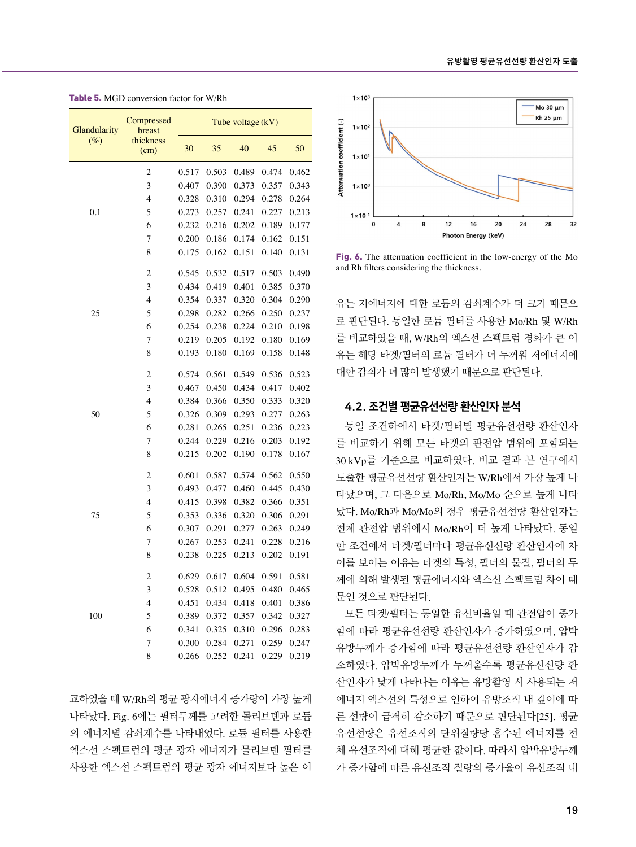| Glandularity | Compressed<br>breast | Tube voltage (kV) |       |       |       |       |
|--------------|----------------------|-------------------|-------|-------|-------|-------|
| $(\%)$       | thickness<br>(cm)    | 30                | 35    | 40    | 45    | 50    |
|              | $\overline{c}$       | 0.517             | 0.503 | 0.489 | 0.474 | 0.462 |
|              | 3                    | 0.407             | 0.390 | 0.373 | 0.357 | 0.343 |
|              | $\overline{4}$       | 0.328             | 0.310 | 0.294 | 0.278 | 0.264 |
| 0.1          | 5                    | 0.273             | 0.257 | 0.241 | 0.227 | 0.213 |
|              | 6                    | 0.232             | 0.216 | 0.202 | 0.189 | 0.177 |
|              | 7                    | 0.200             | 0.186 | 0.174 | 0.162 | 0.151 |
|              | 8                    | 0.175             | 0.162 | 0.151 | 0.140 | 0.131 |
|              | $\mathfrak{2}$       | 0.545             | 0.532 | 0.517 | 0.503 | 0.490 |
|              | 3                    | 0.434             | 0.419 | 0.401 | 0.385 | 0.370 |
|              | 4                    | 0.354             | 0.337 | 0.320 | 0.304 | 0.290 |
| 25           | 5                    | 0.298             | 0.282 | 0.266 | 0.250 | 0.237 |
|              | 6                    | 0.254             | 0.238 | 0.224 | 0.210 | 0.198 |
|              | 7                    | 0.219             | 0.205 | 0.192 | 0.180 | 0.169 |
|              | 8                    | 0.193             | 0.180 | 0.169 | 0.158 | 0.148 |
|              | $\overline{c}$       | 0.574             | 0.561 | 0.549 | 0.536 | 0.523 |
|              | 3                    | 0.467             | 0.450 | 0.434 | 0.417 | 0.402 |
|              | $\overline{4}$       | 0.384             | 0.366 | 0.350 | 0.333 | 0.320 |
| 50           | 5                    | 0.326             | 0.309 | 0.293 | 0.277 | 0.263 |
|              | 6                    | 0.281             | 0.265 | 0.251 | 0.236 | 0.223 |
|              | 7                    | 0.244             | 0.229 | 0.216 | 0.203 | 0.192 |
|              | 8                    | 0.215             | 0.202 | 0.190 | 0.178 | 0.167 |
|              | $\mathbf{2}$         | 0.601             | 0.587 | 0.574 | 0.562 | 0.550 |
|              | 3                    | 0.493             | 0.477 | 0.460 | 0.445 | 0.430 |
|              | $\overline{4}$       | 0.415             | 0.398 | 0.382 | 0.366 | 0.351 |
| 75           | 5                    | 0.353             | 0.336 | 0.320 | 0.306 | 0.291 |
|              | 6                    | 0.307             | 0.291 | 0.277 | 0.263 | 0.249 |
|              | 7                    | 0.267             | 0.253 | 0.241 | 0.228 | 0.216 |
|              | 8                    | 0.238             | 0.225 | 0.213 | 0.202 | 0.191 |
|              | $\overline{c}$       | 0.629             | 0.617 | 0.604 | 0.591 | 0.581 |
|              | 3                    | 0.528             | 0.512 | 0.495 | 0.480 | 0.465 |
|              | 4                    | 0.451             | 0.434 | 0.418 | 0.401 | 0.386 |
| 100          | 5                    | 0.389             | 0.372 | 0.357 | 0.342 | 0.327 |
|              | 6                    | 0.341             | 0.325 | 0.310 | 0.296 | 0.283 |
|              | 7                    | 0.300             | 0.284 | 0.271 | 0.259 | 0.247 |
|              | 8                    | 0.266             | 0.252 | 0.241 | 0.229 | 0.219 |

Table 5. MGD conversion factor for W/Rh

교하였을 때 W/Rh의 평균 광자에너지 증가량이 가장 높게 나타났다. Fig. 6에는 필터두께를 고려한 몰리브덴과 로듐 의 에너지별 감쇠계수를 나타내었다. 로듐 필터를 사용한 엑스선 스펙트럼의 평균 광자 에너지가 몰리브덴 필터를 사용한 엑스선 스펙트럼의 평균 광자 에너지보다 높은 이



Fig. 6. The attenuation coefficient in the low-energy of the Mo and Rh filters considering the thickness.

유는 저에너지에 대한 로듐의 감쇠계수가 더 크기 때문으 로 판단된다. 동일한 로듐 필터를 사용한 Mo/Rh 및 W/Rh 를 비교하였을 때, W/Rh의 엑스선 스펙트럼 경화가 큰 이 유는 해당 타겟/필터의 로듐 필터가 더 두꺼워 저에너지에 대한 감쇠가 더 많이 발생했기 때문으로 판단된다.

#### 4.2. 조건별 평균유선선량 환산인자 분석

동일 조건하에서 타겟/필터별 평균유선선량 환산인자 를 비교하기 위해 모든 타겟의 관전압 범위에 포함되는 30 kVp를 기준으로 비교하였다. 비교 결과 본 연구에서 도출한 평균유선선량 환산인자는 W/Rh에서 가장 높게 나 타났으며, 그 다음으로 Mo/Rh, Mo/Mo 순으로 높게 나타 났다. Mo/Rh과 Mo/Mo의 경우 평균유선선량 환산인자는 전체 관전압 범위에서 Mo/Rh이 더 높게 나타났다. 동일 한 조건에서 타겟/필터마다 평균유선선량 환산인자에 차 이를 보이는 이유는 타겟의 특성, 필터의 물질, 필터의 두 께에 의해 발생된 평균에너지와 엑스선 스펙트럼 차이 때 문인 것으로 판단된다.

모든 타겟/필터는 동일한 유선비율일 때 관전압이 증가 함에 따라 평균유선선량 환산인자가 증가하였으며, 압박 유방두께가 증가함에 따라 평균유선선량 환산인자가 감 소하였다. 압박유방두께가 두꺼울수록 평균유선선량 환 산인자가 낮게 나타나는 이유는 유방촬영 시 사용되는 저 에너지 엑스선의 특성으로 인하여 유방조직 내 깊이에 따 른 선량이 급격히 감소하기 때문으로 판단된다[25]. 평균 유선선량은 유선조직의 단위질량당 흡수된 에너지를 전 체 유선조직에 대해 평균한 값이다. 따라서 압박유방두께 가 증가함에 따른 유선조직 질량의 증가율이 유선조직 내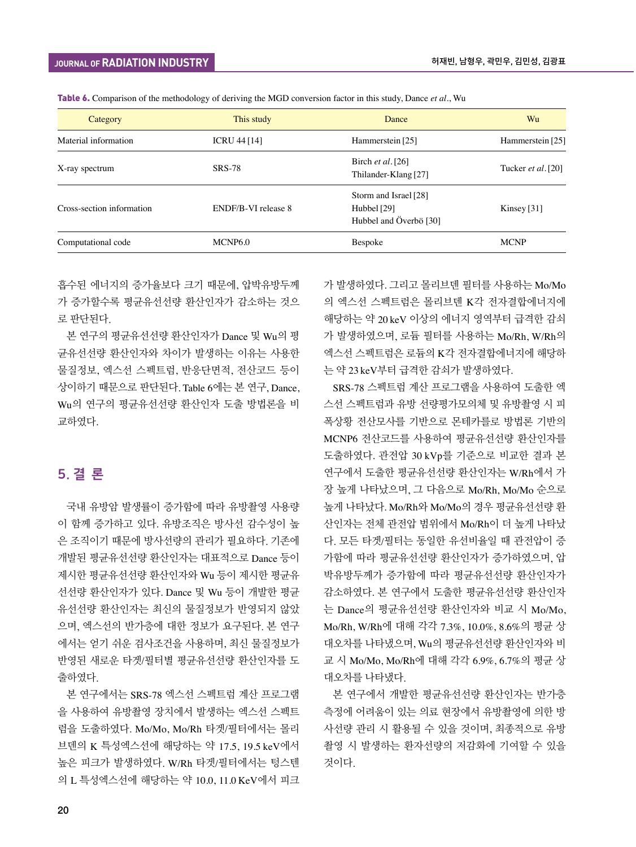| Category                  | This study          | Dance                                                          | Wu                         |  |
|---------------------------|---------------------|----------------------------------------------------------------|----------------------------|--|
| Material information      | <b>ICRU 44 [14]</b> | Hammerstein [25]                                               | Hammerstein [25]           |  |
| X-ray spectrum            | <b>SRS-78</b>       | Birch et al. $[26]$<br>Thilander-Klang [27]                    | Tucker <i>et al</i> . [20] |  |
| Cross-section information | ENDF/B-VI release 8 | Storm and Israel [28]<br>Hubbel [29]<br>Hubbel and Överbö [30] | Kinsey [31]                |  |
| Computational code        | MCNP <sub>6.0</sub> | Bespoke                                                        | <b>MCNP</b>                |  |

Table 6. Comparison of the methodology of deriving the MGD conversion factor in this study, Dance *et al*., Wu

흡수된 에너지의 증가율보다 크기 때문에, 압박유방두께 가 증가할수록 평균유선선량 환산인자가 감소하는 것으 로 판단된다.

본 연구의 평균유선선량 환산인자가 Dance 및 Wu의 평 균유선선량 환산인자와 차이가 발생하는 이유는 사용한 물질정보, 엑스선 스펙트럼, 반응단면적, 전산코드 등이 상이하기 때문으로 판단된다. Table 6에는 본 연구, Dance, Wu의 연구의 평균유선선량 환산인자 도출 방법론을 비 교하였다.

### 5. 결 론

국내 유방암 발생률이 증가함에 따라 유방촬영 사용량 이 함께 증가하고 있다. 유방조직은 방사선 감수성이 높 은 조직이기 때문에 방사선량의 관리가 필요하다. 기존에 개발된 평균유선선량 환산인자는 대표적으로 Dance 등이 제시한 평균유선선량 환산인자와 Wu 등이 제시한 평균유 선선량 환산인자가 있다. Dance 및 Wu 등이 개발한 평균 유선선량 환산인자는 최신의 물질정보가 반영되지 않았 으며, 엑스선의 반가층에 대한 정보가 요구된다. 본 연구 에서는 얻기 쉬운 검사조건을 사용하며, 최신 물질정보가 반영된 새로운 타겟/필터별 평균유선선량 환산인자를 도 출하였다.

본 연구에서는 SRS-78 엑스선 스펙트럼 계산 프로그램 을 사용하여 유방촬영 장치에서 발생하는 엑스선 스펙트 럼을 도출하였다. Mo/Mo, Mo/Rh 타겟/필터에서는 몰리 브덴의 K 특성엑스선에 해당하는 약 17.5, 19.5 keV에서 높은 피크가 발생하였다. W/Rh 타겟/필터에서는 텅스텐 의 L 특성엑스선에 해당하는 약 10.0, 11.0 KeV에서 피크

가 발생하였다. 그리고 몰리브덴 필터를 사용하는 Mo/Mo 의 엑스선 스펙트럼은 몰리브덴 K각 전자결합에너지에 해당하는 약 20 keV 이상의 에너지 영역부터 급격한 감쇠 가 발생하였으며, 로듐 필터를 사용하는 Mo/Rh, W/Rh의 엑스선 스펙트럼은 로듐의 K각 전자결합에너지에 해당하 는 약 23 keV부터 급격한 감쇠가 발생하였다.

SRS-78 스펙트럼 계산 프로그램을 사용하여 도출한 엑 스선 스펙트럼과 유방 선량평가모의체 및 유방촬영 시 피 폭상황 전산모사를 기반으로 몬테카를로 방법론 기반의 MCNP6 전산코드를 사용하여 평균유선선량 환산인자를 도출하였다. 관전압 30 kVp를 기준으로 비교한 결과 본 연구에서 도출한 평균유선선량 환산인자는 W/Rh에서 가 장 높게 나타났으며, 그 다음으로 Mo/Rh, Mo/Mo 순으로 높게 나타났다. Mo/Rh와 Mo/Mo의 경우 평균유선선량 환 산인자는 전체 관전압 범위에서 Mo/Rh이 더 높게 나타났 다. 모든 타겟/필터는 동일한 유선비율일 때 관전압이 증 가함에 따라 평균유선선량 환산인자가 증가하였으며, 압 박유방두께가 증가함에 따라 평균유선선량 환산인자가 감소하였다. 본 연구에서 도출한 평균유선선량 환산인자 는 Dance의 평균유선선량 환산인자와 비교 시 Mo/Mo, Mo/Rh, W/Rh에 대해 각각 7.3%, 10.0%, 8.6%의 평균 상 대오차를 나타냈으며, Wu의 평균유선선량 환산인자와 비 교 시 Mo/Mo, Mo/Rh에 대해 각각 6.9%, 6.7%의 평균 상 대오차를 나타냈다.

본 연구에서 개발한 평균유선선량 환산인자는 반가층 측정에 어려움이 있는 의료 현장에서 유방촬영에 의한 방 사선량 관리 시 활용될 수 있을 것이며, 최종적으로 유방 촬영 시 발생하는 환자선량의 저감화에 기여할 수 있을 것이다.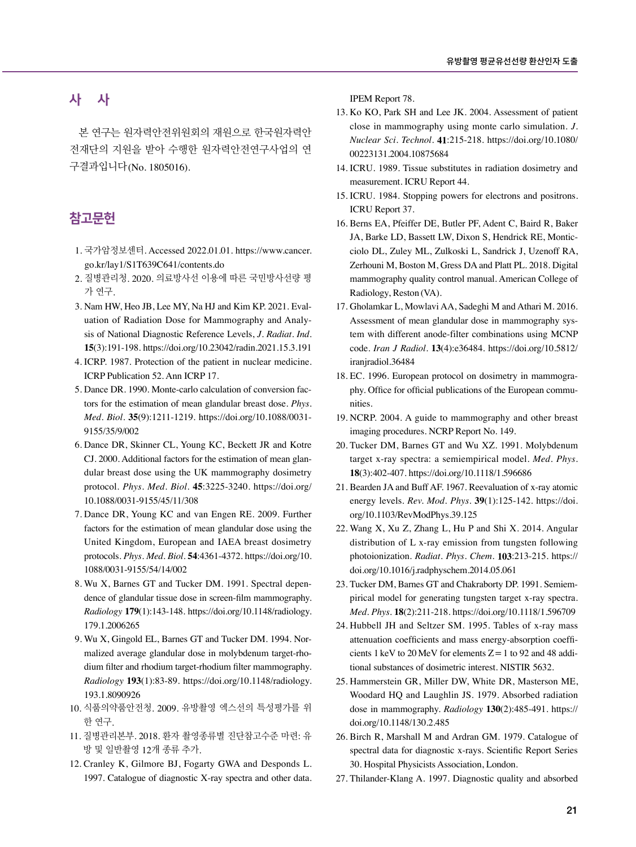### 사 사

본 연구는 원자력안전위원회의 재원으로 한국원자력안 전재단의 지원을 받아 수행한 원자력안전연구사업의 연 구결과입니다(No. 1805016).

#### 참고문헌

- 1. 국가암정보센터. Accessed 2022.01.01. [https://www.cancer.](https://www.cancer.go.kr/lay1/S1T639C641/contents.do) [go.kr/lay1/S1T639C641/contents.d](https://www.cancer.go.kr/lay1/S1T639C641/contents.do)o
- 2. 질병관리청. 2020. 의료방사선 이용에 따른 국민방사선량 평 가 연구.
- 3. Nam HW, Heo JB, Lee MY, Na HJ and Kim KP. 2021. Evaluation of Radiation Dose for Mammography and Analysis of National Diagnostic Reference Levels, *J. Radiat. Ind*. **15**(3):191-198. [https://doi.org/10.23042/radin.2021.15.3.](https://doi.org/10.23042/radin.2021.15.3.191)191
- 4. ICRP. 1987. Protection of the patient in nuclear medicine. ICRP Publication 52. Ann ICRP 17.
- 5. Dance DR. 1990. Monte-carlo calculation of conversion factors for the estimation of mean glandular breast dose. *Phys. Med. Biol*. **35**(9):1211-1219. [https://doi.org/10.1088/0031-](https://doi.org/10.1088/0031-9155/35/9/002) [9155/35/9/002](https://doi.org/10.1088/0031-9155/35/9/002)
- 6. Dance DR, Skinner CL, Young KC, Beckett JR and Kotre CJ. 2000. Additional factors for the estimation of mean glandular breast dose using the UK mammography dosimetry protocol. *Phys. Med. Biol*. **45**:3225-3240. [https://doi.org](https://doi.org/10.1088/0031-9155/45/11/308)/ [10.1088/0031-9155/45/11/308](https://doi.org/10.1088/0031-9155/45/11/308)
- 7. Dance DR, Young KC and van Engen RE. 2009. Further factors for the estimation of mean glandular dose using the United Kingdom, European and IAEA breast dosimetry protocols. *Phys. Med. Biol*. **54**:4361-4372. [https://doi.org/10](https://doi.org/10.1088/0031-9155/54/14/002). [1088/0031-9155/54/14/002](https://doi.org/10.1088/0031-9155/54/14/002)
- 8. Wu X, Barnes GT and Tucker DM. 1991. Spectral dependence of glandular tissue dose in screen-film mammography. *Radiology* **179**(1):143-148. [https://doi.org/10.1148/radiology](https://doi.org/10.1148/radiology.179.1.2006265). [179.1.2006265](https://doi.org/10.1148/radiology.179.1.2006265)
- 9. Wu X, Gingold EL, Barnes GT and Tucker DM. 1994. Normalized average glandular dose in molybdenum target-rhodium filter and rhodium target-rhodium filter mammography. *Radiology* **193**(1):83-89. [https://doi.org/10.1148/radiology](https://doi.org/10.1148/radiology.193.1.8090926). [193.1.8090926](https://doi.org/10.1148/radiology.193.1.8090926)
- 10. 식품의약품안전청. 2009. 유방촬영 엑스선의 특성평가를 위 한 연구.
- 11. 질병관리본부. 2018. 환자 촬영종류별 진단참고수준 마련: 유 방 및 일반촬영 12개 종류 추가.
- 12. Cranley K, Gilmore BJ, Fogarty GWA and Desponds L. 1997. Catalogue of diagnostic X-ray spectra and other data.

IPEM Report 78.

- 13. Ko KO, Park SH and Lee JK. 2004. Assessment of patient close in mammography using monte carlo simulation. *J. Nuclear Sci. Technol*. **41**:215-218. [https://doi.org/10.1080](https://doi.org/10.1080/00223131.2004.10875684)/ [00223131.2004.10875684](https://doi.org/10.1080/00223131.2004.10875684)
- 14. ICRU. 1989. Tissue substitutes in radiation dosimetry and measurement. ICRU Report 44.
- 15. ICRU. 1984. Stopping powers for electrons and positrons. ICRU Report 37.
- 16. Berns EA, Pfeiffer DE, Butler PF, Adent C, Baird R, Baker JA, Barke LD, Bassett LW, Dixon S, Hendrick RE, Monticciolo DL, Zuley ML, Zulkoski L, Sandrick J, Uzenoff RA, Zerhouni M, Boston M, Gress DA and Platt PL. 2018. Digital mammography quality control manual. American College of Radiology, Reston (VA).
- 17. Gholamkar L, Mowlavi AA, Sadeghi M and Athari M. 2016. Assessment of mean glandular dose in mammography system with different anode-filter combinations using MCNP code. *Iran J Radiol*. **13**(4):e36484. [https://doi.org/10.5812/](https://doi.org/10.5812/iranjradiol.36484) [iranjradiol.36484](https://doi.org/10.5812/iranjradiol.36484)
- 18. EC. 1996. European protocol on dosimetry in mammography. Office for official publications of the European communities.
- 19. NCRP. 2004. A guide to mammography and other breast imaging procedures. NCRP Report No. 149.
- 20. Tucker DM, Barnes GT and Wu XZ. 1991. Molybdenum target x-ray spectra: a semiempirical model. *Med. Phys*. **18**(3):402-407. [https://doi.org/10.1118/1.](https://doi.org/10.1118/1.596686)596686
- 21. Bearden JA and Buff AF. 1967. Reevaluation of x-ray atomic energy levels. *Rev. Mod. Phys*. **39**(1):125-142. [https://doi.](https://doi.org/10.1103/RevModPhys.39.125) [org/10.1103/RevModPhys.39.](https://doi.org/10.1103/RevModPhys.39.125)125
- 22. Wang X, Xu Z, Zhang L, Hu P and Shi X. 2014. Angular distribution of L x-ray emission from tungsten following photoionization. *Radiat. Phys. Chem*. **103**:213-215. [https://](https://doi.org/10.1016/j.radphyschem.2014.05.061) [doi.org/10.1016/j.radphyschem.2014.05.](https://doi.org/10.1016/j.radphyschem.2014.05.061)061
- 23. Tucker DM, Barnes GT and Chakraborty DP. 1991. Semiempirical model for generating tungsten target x-ray spectra. *Med. Phys*. **18**(2):211-218. [https://doi.org/10.1118/1.](https://doi.org/10.1118/1.596709)596709
- 24. Hubbell JH and Seltzer SM. 1995. Tables of x-ray mass attenuation coefficients and mass energy-absorption coefficients 1 keV to 20 MeV for elements  $Z=1$  to 92 and 48 additional substances of dosimetric interest. NISTIR 5632.
- 25. Hammerstein GR, Miller DW, White DR, Masterson ME, Woodard HQ and Laughlin JS. 1979. Absorbed radiation dose in mammography. *Radiology* **130**(2):485-491. [https://](https://doi.org/10.1148/130.2.485) [doi.org/10.1148/130.2.485](https://doi.org/10.1148/130.2.485)
- 26. Birch R, Marshall M and Ardran GM. 1979. Catalogue of spectral data for diagnostic x-rays. Scientific Report Series 30. Hospital Physicists Association, London.
- 27. Thilander-Klang A. 1997. Diagnostic quality and absorbed